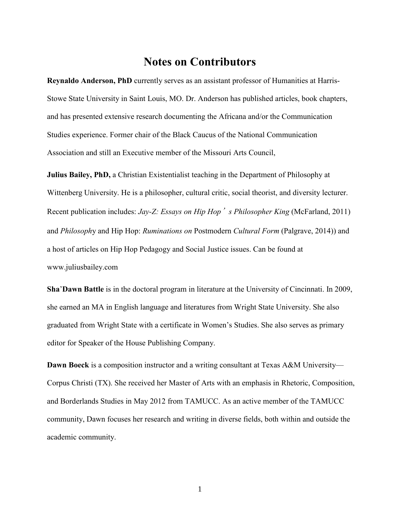## **Notes on Contributors**

**Reynaldo Anderson, PhD** currently serves as an assistant professor of Humanities at Harris-Stowe State University in Saint Louis, MO. Dr. Anderson has published articles, book chapters, and has presented extensive research documenting the Africana and/or the Communication Studies experience. Former chair of the Black Caucus of the National Communication Association and still an Executive member of the Missouri Arts Council,

**Julius Bailey, PhD,** a Christian Existentialist teaching in the Department of Philosophy at Wittenberg University. He is a philosopher, cultural critic, social theorist, and diversity lecturer. Recent publication includes: *Jay-Z: Essays on Hip Hop*'*s Philosopher King* (McFarland, 2011) and *Philosoph*y and Hip Hop: *Ruminations on* Postmodern *Cultural Form* (Palgrave, 2014)) and a host of articles on Hip Hop Pedagogy and Social Justice issues. Can be found at www.juliusbailey.com

**Sha**'**Dawn Battle** is in the doctoral program in literature at the University of Cincinnati. In 2009, she earned an MA in English language and literatures from Wright State University. She also graduated from Wright State with a certificate in Women's Studies. She also serves as primary editor for Speaker of the House Publishing Company.

**Dawn Boeck** is a composition instructor and a writing consultant at Texas A&M University— Corpus Christi (TX). She received her Master of Arts with an emphasis in Rhetoric, Composition, and Borderlands Studies in May 2012 from TAMUCC. As an active member of the TAMUCC community, Dawn focuses her research and writing in diverse fields, both within and outside the academic community.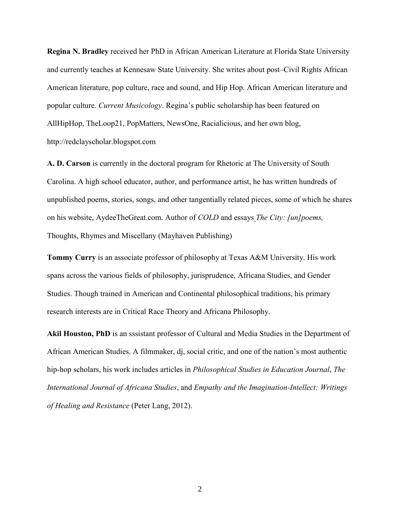**Regina N. Bradley** received her PhD in African American Literature at Florida State University and currently teaches at Kennesaw State University. She writes about post–Civil Rights African American literature, pop culture, race and sound, and Hip Hop. African American literature and popular culture. *Current Musicology*. Regina's public scholarship has been featured on AllHipHop, TheLoop21, PopMatters, NewsOne, Racialicious, and her own blog, http://redclayscholar.blogspot.com

**A. D. Carson** is currently in the doctoral program for Rhetoric at The University of South Carolina. A high school educator, author, and performance artist, he has written hundreds of unpublished poems, stories, songs, and other tangentially related pieces, some of which he shares on his website, AydeeTheGreat.com. Author of *COLD* and essays *The City: [un]poems,* Thoughts, Rhymes and Miscellany (Mayhaven Publishing)

**Tommy Curry** is an associate professor of philosophy at Texas A&M University. His work spans across the various fields of philosophy, jurisprudence, Africana Studies, and Gender Studies. Though trained in American and Continental philosophical traditions, his primary research interests are in Critical Race Theory and Africana Philosophy.

**Akil Houston, PhD** is an sssistant professor of Cultural and Media Studies in the Department of African American Studies. A filmmaker, dj, social critic, and one of the nation's most authentic hip-hop scholars, his work includes articles in *Philosophical Studies in Education Journal*, *The International Journal of Africana Studies*, and *Empathy and the Imagination-Intellect: Writings of Healing and Resistance* (Peter Lang, 2012).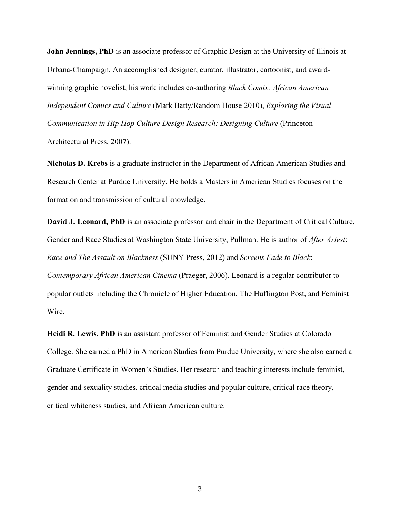**John Jennings, PhD** is an associate professor of Graphic Design at the University of Illinois at Urbana-Champaign. An accomplished designer, curator, illustrator, cartoonist, and awardwinning graphic novelist, his work includes co-authoring *Black Comix: African American Independent Comics and Culture* (Mark Batty/Random House 2010), *Exploring the Visual Communication in Hip Hop Culture Design Research: Designing Culture* (Princeton Architectural Press, 2007).

**Nicholas D. Krebs** is a graduate instructor in the Department of African American Studies and Research Center at Purdue University. He holds a Masters in American Studies focuses on the formation and transmission of cultural knowledge.

**David J. Leonard, PhD** is an associate professor and chair in the Department of Critical Culture, Gender and Race Studies at Washington State University, Pullman. He is author of *After Artest*: *Race and The Assault on Blackness* (SUNY Press, 2012) and *Screens Fade to Black*: *Contemporary African American Cinema* (Praeger, 2006). Leonard is a regular contributor to popular outlets including the Chronicle of Higher Education, The Huffington Post, and Feminist Wire.

**Heidi R. Lewis, PhD** is an assistant professor of Feminist and Gender Studies at Colorado College. She earned a PhD in American Studies from Purdue University, where she also earned a Graduate Certificate in Women's Studies. Her research and teaching interests include feminist, gender and sexuality studies, critical media studies and popular culture, critical race theory, critical whiteness studies, and African American culture.

3